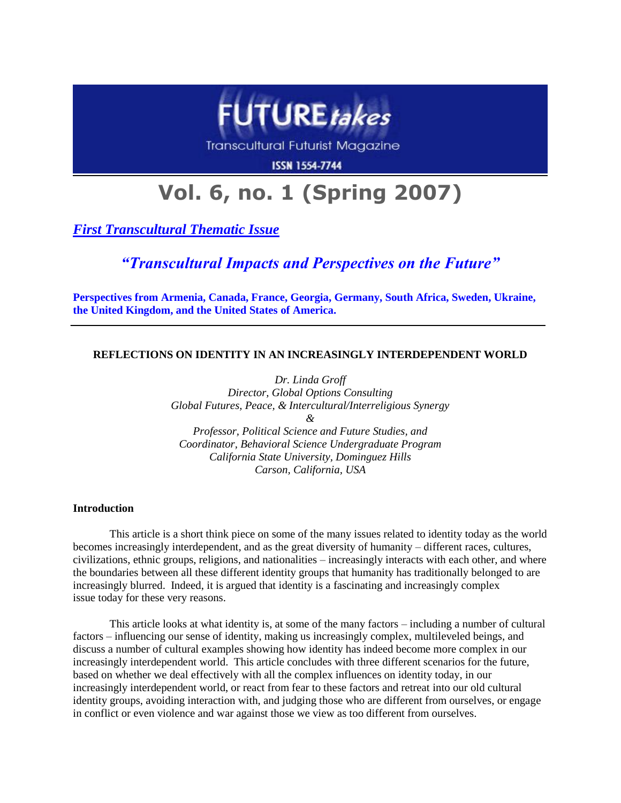

Transcultural Futurist Magazine

**ISSN 1554-7744** 

# **Vol. 6, no. 1 (Spring 2007)**

*First Transcultural Thematic Issue*

*"Transcultural Impacts and Perspectives on the Future"*

**Perspectives from Armenia, Canada, France, Georgia, Germany, South Africa, Sweden, Ukraine, the United Kingdom, and the United States of America.**

# **REFLECTIONS ON IDENTITY IN AN INCREASINGLY INTERDEPENDENT WORLD**

*Dr. Linda Groff Director, Global Options Consulting Global Futures, Peace, & Intercultural/Interreligious Synergy & Professor, Political Science and Future Studies, and Coordinator, Behavioral Science Undergraduate Program California State University, Dominguez Hills*

*Carson, California, USA*

# **Introduction**

This article is a short think piece on some of the many issues related to identity today as the world becomes increasingly interdependent, and as the great diversity of humanity – different races, cultures, civilizations, ethnic groups, religions, and nationalities – increasingly interacts with each other, and where the boundaries between all these different identity groups that humanity has traditionally belonged to are increasingly blurred. Indeed, it is argued that identity is a fascinating and increasingly complex issue today for these very reasons.

This article looks at what identity is, at some of the many factors – including a number of cultural factors – influencing our sense of identity, making us increasingly complex, multileveled beings, and discuss a number of cultural examples showing how identity has indeed become more complex in our increasingly interdependent world. This article concludes with three different scenarios for the future, based on whether we deal effectively with all the complex influences on identity today, in our increasingly interdependent world, or react from fear to these factors and retreat into our old cultural identity groups, avoiding interaction with, and judging those who are different from ourselves, or engage in conflict or even violence and war against those we view as too different from ourselves.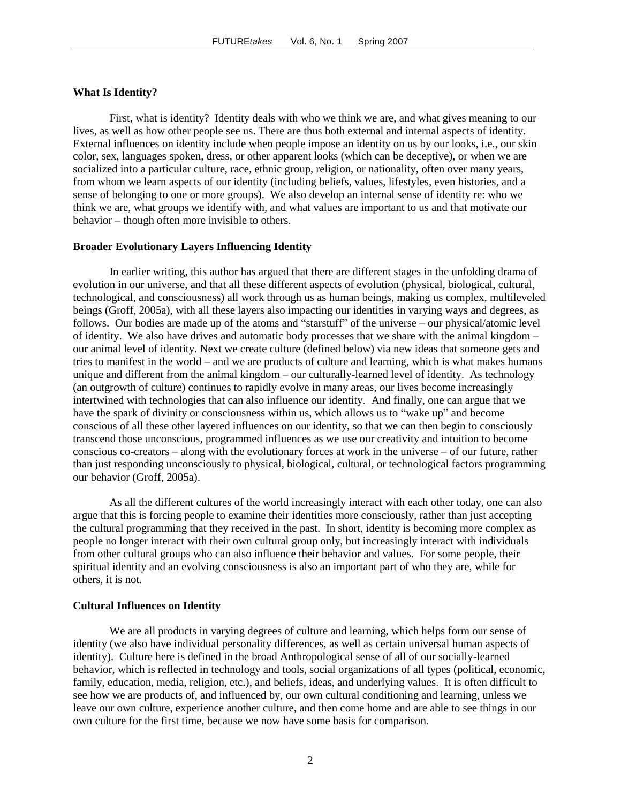# **What Is Identity?**

First, what is identity? Identity deals with who we think we are, and what gives meaning to our lives, as well as how other people see us. There are thus both external and internal aspects of identity. External influences on identity include when people impose an identity on us by our looks, i.e., our skin color, sex, languages spoken, dress, or other apparent looks (which can be deceptive), or when we are socialized into a particular culture, race, ethnic group, religion, or nationality, often over many years, from whom we learn aspects of our identity (including beliefs, values, lifestyles, even histories, and a sense of belonging to one or more groups). We also develop an internal sense of identity re: who we think we are, what groups we identify with, and what values are important to us and that motivate our behavior – though often more invisible to others.

#### **Broader Evolutionary Layers Influencing Identity**

In earlier writing, this author has argued that there are different stages in the unfolding drama of evolution in our universe, and that all these different aspects of evolution (physical, biological, cultural, technological, and consciousness) all work through us as human beings, making us complex, multileveled beings (Groff, 2005a), with all these layers also impacting our identities in varying ways and degrees, as follows. Our bodies are made up of the atoms and "starstuff" of the universe – our physical/atomic level of identity. We also have drives and automatic body processes that we share with the animal kingdom – our animal level of identity. Next we create culture (defined below) via new ideas that someone gets and tries to manifest in the world – and we are products of culture and learning, which is what makes humans unique and different from the animal kingdom – our culturally-learned level of identity. As technology (an outgrowth of culture) continues to rapidly evolve in many areas, our lives become increasingly intertwined with technologies that can also influence our identity. And finally, one can argue that we have the spark of divinity or consciousness within us, which allows us to "wake up" and become conscious of all these other layered influences on our identity, so that we can then begin to consciously transcend those unconscious, programmed influences as we use our creativity and intuition to become conscious co-creators – along with the evolutionary forces at work in the universe – of our future, rather than just responding unconsciously to physical, biological, cultural, or technological factors programming our behavior (Groff, 2005a).

As all the different cultures of the world increasingly interact with each other today, one can also argue that this is forcing people to examine their identities more consciously, rather than just accepting the cultural programming that they received in the past. In short, identity is becoming more complex as people no longer interact with their own cultural group only, but increasingly interact with individuals from other cultural groups who can also influence their behavior and values. For some people, their spiritual identity and an evolving consciousness is also an important part of who they are, while for others, it is not.

#### **Cultural Influences on Identity**

We are all products in varying degrees of culture and learning, which helps form our sense of identity (we also have individual personality differences, as well as certain universal human aspects of identity). Culture here is defined in the broad Anthropological sense of all of our socially-learned behavior, which is reflected in technology and tools, social organizations of all types (political, economic, family, education, media, religion, etc.), and beliefs, ideas, and underlying values. It is often difficult to see how we are products of, and influenced by, our own cultural conditioning and learning, unless we leave our own culture, experience another culture, and then come home and are able to see things in our own culture for the first time, because we now have some basis for comparison.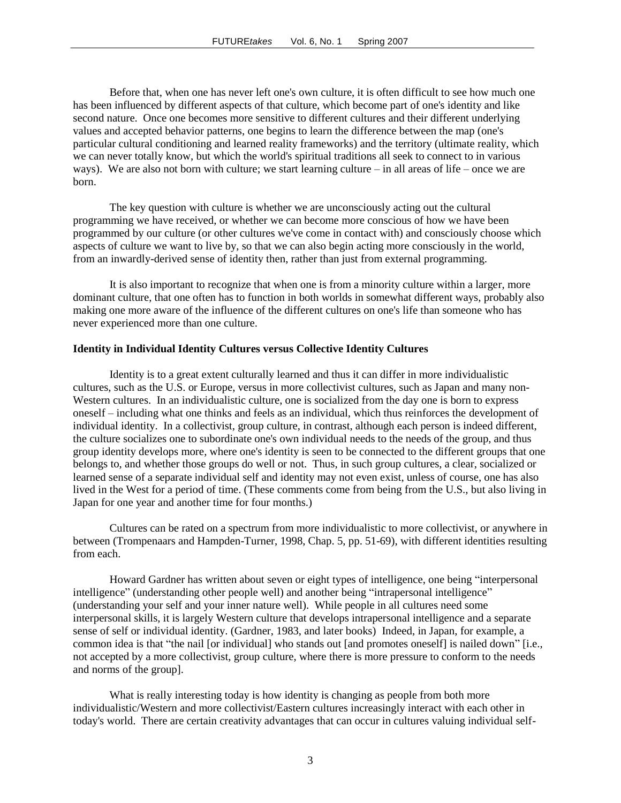Before that, when one has never left one's own culture, it is often difficult to see how much one has been influenced by different aspects of that culture, which become part of one's identity and like second nature. Once one becomes more sensitive to different cultures and their different underlying values and accepted behavior patterns, one begins to learn the difference between the map (one's particular cultural conditioning and learned reality frameworks) and the territory (ultimate reality, which we can never totally know, but which the world's spiritual traditions all seek to connect to in various ways). We are also not born with culture; we start learning culture – in all areas of life – once we are born.

The key question with culture is whether we are unconsciously acting out the cultural programming we have received, or whether we can become more conscious of how we have been programmed by our culture (or other cultures we've come in contact with) and consciously choose which aspects of culture we want to live by, so that we can also begin acting more consciously in the world, from an inwardly-derived sense of identity then, rather than just from external programming.

It is also important to recognize that when one is from a minority culture within a larger, more dominant culture, that one often has to function in both worlds in somewhat different ways, probably also making one more aware of the influence of the different cultures on one's life than someone who has never experienced more than one culture.

#### **Identity in Individual Identity Cultures versus Collective Identity Cultures**

Identity is to a great extent culturally learned and thus it can differ in more individualistic cultures, such as the U.S. or Europe, versus in more collectivist cultures, such as Japan and many non-Western cultures. In an individualistic culture, one is socialized from the day one is born to express oneself – including what one thinks and feels as an individual, which thus reinforces the development of individual identity. In a collectivist, group culture, in contrast, although each person is indeed different, the culture socializes one to subordinate one's own individual needs to the needs of the group, and thus group identity develops more, where one's identity is seen to be connected to the different groups that one belongs to, and whether those groups do well or not. Thus, in such group cultures, a clear, socialized or learned sense of a separate individual self and identity may not even exist, unless of course, one has also lived in the West for a period of time. (These comments come from being from the U.S., but also living in Japan for one year and another time for four months.)

Cultures can be rated on a spectrum from more individualistic to more collectivist, or anywhere in between (Trompenaars and Hampden-Turner, 1998, Chap. 5, pp. 51-69), with different identities resulting from each.

Howard Gardner has written about seven or eight types of intelligence, one being "interpersonal intelligence" (understanding other people well) and another being "intrapersonal intelligence" (understanding your self and your inner nature well). While people in all cultures need some interpersonal skills, it is largely Western culture that develops intrapersonal intelligence and a separate sense of self or individual identity. (Gardner, 1983, and later books) Indeed, in Japan, for example, a common idea is that "the nail [or individual] who stands out [and promotes oneself] is nailed down" [i.e., not accepted by a more collectivist, group culture, where there is more pressure to conform to the needs and norms of the group].

What is really interesting today is how identity is changing as people from both more individualistic/Western and more collectivist/Eastern cultures increasingly interact with each other in today's world. There are certain creativity advantages that can occur in cultures valuing individual self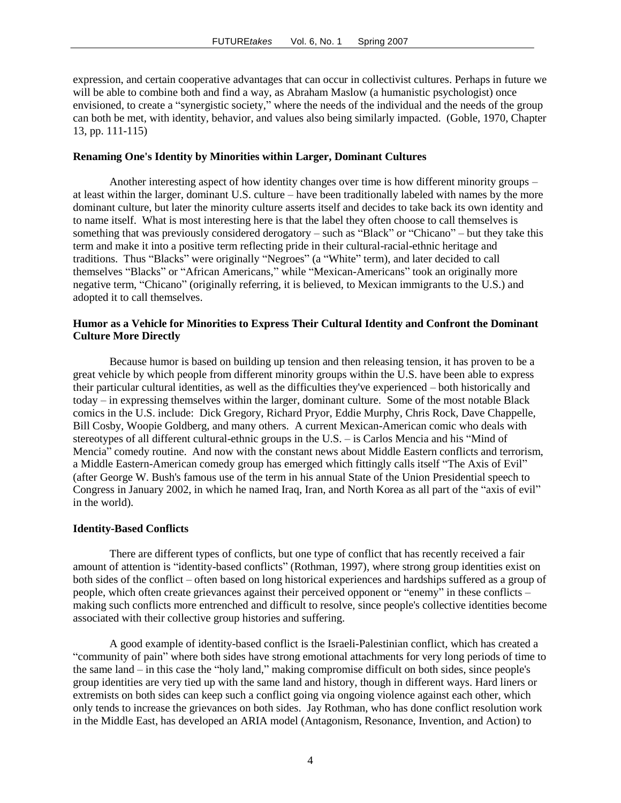expression, and certain cooperative advantages that can occur in collectivist cultures. Perhaps in future we will be able to combine both and find a way, as Abraham Maslow (a humanistic psychologist) once envisioned, to create a "synergistic society," where the needs of the individual and the needs of the group can both be met, with identity, behavior, and values also being similarly impacted. (Goble, 1970, Chapter 13, pp. 111-115)

### **Renaming One's Identity by Minorities within Larger, Dominant Cultures**

Another interesting aspect of how identity changes over time is how different minority groups – at least within the larger, dominant U.S. culture – have been traditionally labeled with names by the more dominant culture, but later the minority culture asserts itself and decides to take back its own identity and to name itself. What is most interesting here is that the label they often choose to call themselves is something that was previously considered derogatory – such as "Black" or "Chicano" – but they take this term and make it into a positive term reflecting pride in their cultural-racial-ethnic heritage and traditions. Thus "Blacks" were originally "Negroes" (a "White" term), and later decided to call themselves "Blacks" or "African Americans," while "Mexican-Americans" took an originally more negative term, "Chicano" (originally referring, it is believed, to Mexican immigrants to the U.S.) and adopted it to call themselves.

# **Humor as a Vehicle for Minorities to Express Their Cultural Identity and Confront the Dominant Culture More Directly**

Because humor is based on building up tension and then releasing tension, it has proven to be a great vehicle by which people from different minority groups within the U.S. have been able to express their particular cultural identities, as well as the difficulties they've experienced – both historically and today – in expressing themselves within the larger, dominant culture. Some of the most notable Black comics in the U.S. include: Dick Gregory, Richard Pryor, Eddie Murphy, Chris Rock, Dave Chappelle, Bill Cosby, Woopie Goldberg, and many others. A current Mexican-American comic who deals with stereotypes of all different cultural-ethnic groups in the U.S. – is Carlos Mencia and his "Mind of Mencia" comedy routine. And now with the constant news about Middle Eastern conflicts and terrorism, a Middle Eastern-American comedy group has emerged which fittingly calls itself "The Axis of Evil" (after George W. Bush's famous use of the term in his annual State of the Union Presidential speech to Congress in January 2002, in which he named Iraq, Iran, and North Korea as all part of the "axis of evil" in the world).

#### **Identity-Based Conflicts**

There are different types of conflicts, but one type of conflict that has recently received a fair amount of attention is "identity-based conflicts" (Rothman, 1997), where strong group identities exist on both sides of the conflict – often based on long historical experiences and hardships suffered as a group of people, which often create grievances against their perceived opponent or "enemy" in these conflicts – making such conflicts more entrenched and difficult to resolve, since people's collective identities become associated with their collective group histories and suffering.

A good example of identity-based conflict is the Israeli-Palestinian conflict, which has created a "community of pain" where both sides have strong emotional attachments for very long periods of time to the same land – in this case the "holy land," making compromise difficult on both sides, since people's group identities are very tied up with the same land and history, though in different ways. Hard liners or extremists on both sides can keep such a conflict going via ongoing violence against each other, which only tends to increase the grievances on both sides. Jay Rothman, who has done conflict resolution work in the Middle East, has developed an ARIA model (Antagonism, Resonance, Invention, and Action) to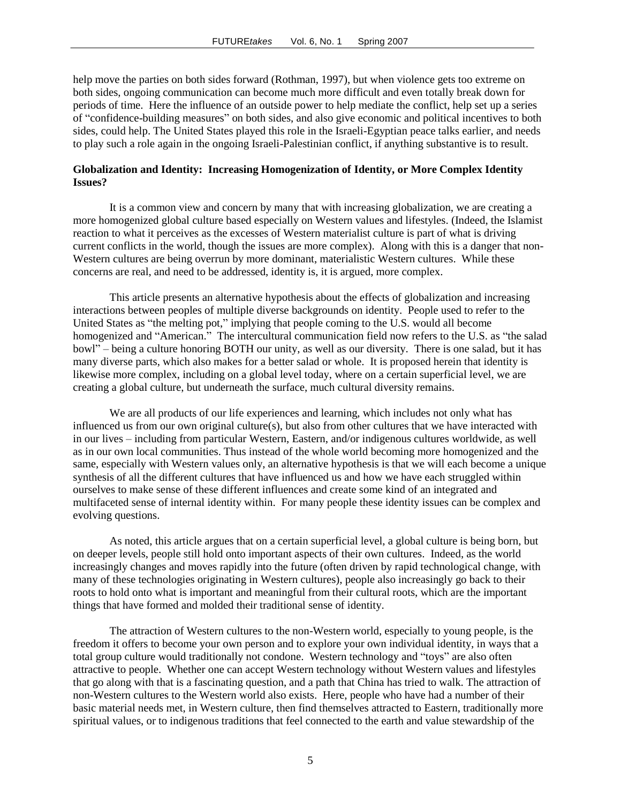help move the parties on both sides forward (Rothman, 1997), but when violence gets too extreme on both sides, ongoing communication can become much more difficult and even totally break down for periods of time. Here the influence of an outside power to help mediate the conflict, help set up a series of "confidence-building measures" on both sides, and also give economic and political incentives to both sides, could help. The United States played this role in the Israeli-Egyptian peace talks earlier, and needs to play such a role again in the ongoing Israeli-Palestinian conflict, if anything substantive is to result.

## **Globalization and Identity: Increasing Homogenization of Identity, or More Complex Identity Issues?**

It is a common view and concern by many that with increasing globalization, we are creating a more homogenized global culture based especially on Western values and lifestyles. (Indeed, the Islamist reaction to what it perceives as the excesses of Western materialist culture is part of what is driving current conflicts in the world, though the issues are more complex). Along with this is a danger that non-Western cultures are being overrun by more dominant, materialistic Western cultures. While these concerns are real, and need to be addressed, identity is, it is argued, more complex.

This article presents an alternative hypothesis about the effects of globalization and increasing interactions between peoples of multiple diverse backgrounds on identity. People used to refer to the United States as "the melting pot," implying that people coming to the U.S. would all become homogenized and "American." The intercultural communication field now refers to the U.S. as "the salad bowl" – being a culture honoring BOTH our unity, as well as our diversity. There is one salad, but it has many diverse parts, which also makes for a better salad or whole. It is proposed herein that identity is likewise more complex, including on a global level today, where on a certain superficial level, we are creating a global culture, but underneath the surface, much cultural diversity remains.

We are all products of our life experiences and learning, which includes not only what has influenced us from our own original culture(s), but also from other cultures that we have interacted with in our lives – including from particular Western, Eastern, and/or indigenous cultures worldwide, as well as in our own local communities. Thus instead of the whole world becoming more homogenized and the same, especially with Western values only, an alternative hypothesis is that we will each become a unique synthesis of all the different cultures that have influenced us and how we have each struggled within ourselves to make sense of these different influences and create some kind of an integrated and multifaceted sense of internal identity within. For many people these identity issues can be complex and evolving questions.

As noted, this article argues that on a certain superficial level, a global culture is being born, but on deeper levels, people still hold onto important aspects of their own cultures. Indeed, as the world increasingly changes and moves rapidly into the future (often driven by rapid technological change, with many of these technologies originating in Western cultures), people also increasingly go back to their roots to hold onto what is important and meaningful from their cultural roots, which are the important things that have formed and molded their traditional sense of identity.

The attraction of Western cultures to the non-Western world, especially to young people, is the freedom it offers to become your own person and to explore your own individual identity, in ways that a total group culture would traditionally not condone. Western technology and "toys" are also often attractive to people. Whether one can accept Western technology without Western values and lifestyles that go along with that is a fascinating question, and a path that China has tried to walk. The attraction of non-Western cultures to the Western world also exists. Here, people who have had a number of their basic material needs met, in Western culture, then find themselves attracted to Eastern, traditionally more spiritual values, or to indigenous traditions that feel connected to the earth and value stewardship of the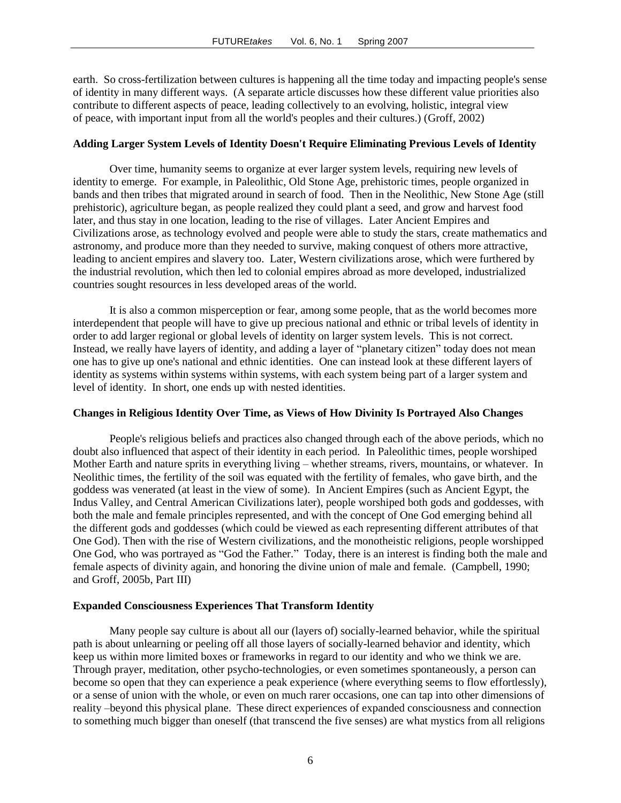earth. So cross-fertilization between cultures is happening all the time today and impacting people's sense of identity in many different ways. (A separate article discusses how these different value priorities also contribute to different aspects of peace, leading collectively to an evolving, holistic, integral view of peace, with important input from all the world's peoples and their cultures.) (Groff, 2002)

### **Adding Larger System Levels of Identity Doesn't Require Eliminating Previous Levels of Identity**

Over time, humanity seems to organize at ever larger system levels, requiring new levels of identity to emerge. For example, in Paleolithic, Old Stone Age, prehistoric times, people organized in bands and then tribes that migrated around in search of food. Then in the Neolithic, New Stone Age (still prehistoric), agriculture began, as people realized they could plant a seed, and grow and harvest food later, and thus stay in one location, leading to the rise of villages. Later Ancient Empires and Civilizations arose, as technology evolved and people were able to study the stars, create mathematics and astronomy, and produce more than they needed to survive, making conquest of others more attractive, leading to ancient empires and slavery too. Later, Western civilizations arose, which were furthered by the industrial revolution, which then led to colonial empires abroad as more developed, industrialized countries sought resources in less developed areas of the world.

It is also a common misperception or fear, among some people, that as the world becomes more interdependent that people will have to give up precious national and ethnic or tribal levels of identity in order to add larger regional or global levels of identity on larger system levels. This is not correct. Instead, we really have layers of identity, and adding a layer of "planetary citizen" today does not mean one has to give up one's national and ethnic identities. One can instead look at these different layers of identity as systems within systems within systems, with each system being part of a larger system and level of identity. In short, one ends up with nested identities.

# **Changes in Religious Identity Over Time, as Views of How Divinity Is Portrayed Also Changes**

People's religious beliefs and practices also changed through each of the above periods, which no doubt also influenced that aspect of their identity in each period. In Paleolithic times, people worshiped Mother Earth and nature sprits in everything living – whether streams, rivers, mountains, or whatever. In Neolithic times, the fertility of the soil was equated with the fertility of females, who gave birth, and the goddess was venerated (at least in the view of some). In Ancient Empires (such as Ancient Egypt, the Indus Valley, and Central American Civilizations later), people worshiped both gods and goddesses, with both the male and female principles represented, and with the concept of One God emerging behind all the different gods and goddesses (which could be viewed as each representing different attributes of that One God). Then with the rise of Western civilizations, and the monotheistic religions, people worshipped One God, who was portrayed as "God the Father." Today, there is an interest is finding both the male and female aspects of divinity again, and honoring the divine union of male and female. (Campbell, 1990; and Groff, 2005b, Part III)

#### **Expanded Consciousness Experiences That Transform Identity**

Many people say culture is about all our (layers of) socially-learned behavior, while the spiritual path is about unlearning or peeling off all those layers of socially-learned behavior and identity, which keep us within more limited boxes or frameworks in regard to our identity and who we think we are. Through prayer, meditation, other psycho-technologies, or even sometimes spontaneously, a person can become so open that they can experience a peak experience (where everything seems to flow effortlessly), or a sense of union with the whole, or even on much rarer occasions, one can tap into other dimensions of reality –beyond this physical plane. These direct experiences of expanded consciousness and connection to something much bigger than oneself (that transcend the five senses) are what mystics from all religions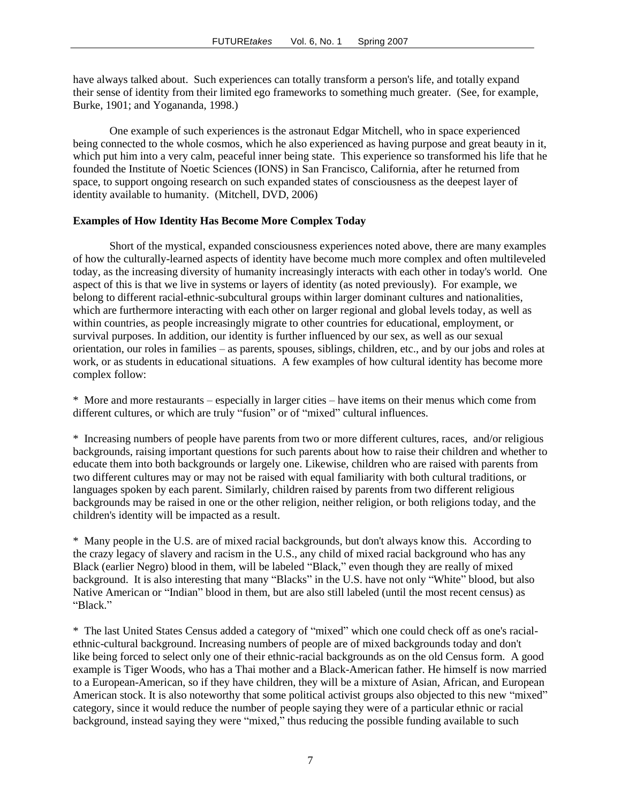have always talked about. Such experiences can totally transform a person's life, and totally expand their sense of identity from their limited ego frameworks to something much greater. (See, for example, Burke, 1901; and Yogananda, 1998.)

One example of such experiences is the astronaut Edgar Mitchell, who in space experienced being connected to the whole cosmos, which he also experienced as having purpose and great beauty in it, which put him into a very calm, peaceful inner being state. This experience so transformed his life that he founded the Institute of Noetic Sciences (IONS) in San Francisco, California, after he returned from space, to support ongoing research on such expanded states of consciousness as the deepest layer of identity available to humanity. (Mitchell, DVD, 2006)

# **Examples of How Identity Has Become More Complex Today**

Short of the mystical, expanded consciousness experiences noted above, there are many examples of how the culturally-learned aspects of identity have become much more complex and often multileveled today, as the increasing diversity of humanity increasingly interacts with each other in today's world. One aspect of this is that we live in systems or layers of identity (as noted previously). For example, we belong to different racial-ethnic-subcultural groups within larger dominant cultures and nationalities, which are furthermore interacting with each other on larger regional and global levels today, as well as within countries, as people increasingly migrate to other countries for educational, employment, or survival purposes. In addition, our identity is further influenced by our sex, as well as our sexual orientation, our roles in families – as parents, spouses, siblings, children, etc., and by our jobs and roles at work, or as students in educational situations. A few examples of how cultural identity has become more complex follow:

\* More and more restaurants – especially in larger cities – have items on their menus which come from different cultures, or which are truly "fusion" or of "mixed" cultural influences.

\* Increasing numbers of people have parents from two or more different cultures, races, and/or religious backgrounds, raising important questions for such parents about how to raise their children and whether to educate them into both backgrounds or largely one. Likewise, children who are raised with parents from two different cultures may or may not be raised with equal familiarity with both cultural traditions, or languages spoken by each parent. Similarly, children raised by parents from two different religious backgrounds may be raised in one or the other religion, neither religion, or both religions today, and the children's identity will be impacted as a result.

\* Many people in the U.S. are of mixed racial backgrounds, but don't always know this. According to the crazy legacy of slavery and racism in the U.S., any child of mixed racial background who has any Black (earlier Negro) blood in them, will be labeled "Black," even though they are really of mixed background. It is also interesting that many "Blacks" in the U.S. have not only "White" blood, but also Native American or "Indian" blood in them, but are also still labeled (until the most recent census) as "Black."

\* The last United States Census added a category of "mixed" which one could check off as one's racialethnic-cultural background. Increasing numbers of people are of mixed backgrounds today and don't like being forced to select only one of their ethnic-racial backgrounds as on the old Census form. A good example is Tiger Woods, who has a Thai mother and a Black-American father. He himself is now married to a European-American, so if they have children, they will be a mixture of Asian, African, and European American stock. It is also noteworthy that some political activist groups also objected to this new "mixed" category, since it would reduce the number of people saying they were of a particular ethnic or racial background, instead saying they were "mixed," thus reducing the possible funding available to such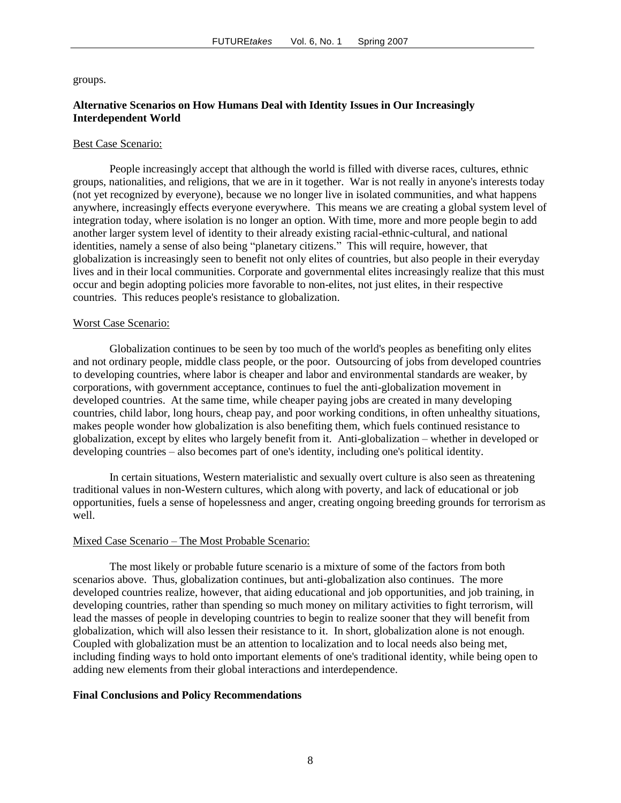groups.

# **Alternative Scenarios on How Humans Deal with Identity Issues in Our Increasingly Interdependent World**

#### Best Case Scenario:

People increasingly accept that although the world is filled with diverse races, cultures, ethnic groups, nationalities, and religions, that we are in it together. War is not really in anyone's interests today (not yet recognized by everyone), because we no longer live in isolated communities, and what happens anywhere, increasingly effects everyone everywhere. This means we are creating a global system level of integration today, where isolation is no longer an option. With time, more and more people begin to add another larger system level of identity to their already existing racial-ethnic-cultural, and national identities, namely a sense of also being "planetary citizens." This will require, however, that globalization is increasingly seen to benefit not only elites of countries, but also people in their everyday lives and in their local communities. Corporate and governmental elites increasingly realize that this must occur and begin adopting policies more favorable to non-elites, not just elites, in their respective countries. This reduces people's resistance to globalization.

#### Worst Case Scenario:

Globalization continues to be seen by too much of the world's peoples as benefiting only elites and not ordinary people, middle class people, or the poor. Outsourcing of jobs from developed countries to developing countries, where labor is cheaper and labor and environmental standards are weaker, by corporations, with government acceptance, continues to fuel the anti-globalization movement in developed countries. At the same time, while cheaper paying jobs are created in many developing countries, child labor, long hours, cheap pay, and poor working conditions, in often unhealthy situations, makes people wonder how globalization is also benefiting them, which fuels continued resistance to globalization, except by elites who largely benefit from it. Anti-globalization – whether in developed or developing countries – also becomes part of one's identity, including one's political identity.

In certain situations, Western materialistic and sexually overt culture is also seen as threatening traditional values in non-Western cultures, which along with poverty, and lack of educational or job opportunities, fuels a sense of hopelessness and anger, creating ongoing breeding grounds for terrorism as well.

#### Mixed Case Scenario – The Most Probable Scenario:

The most likely or probable future scenario is a mixture of some of the factors from both scenarios above. Thus, globalization continues, but anti-globalization also continues. The more developed countries realize, however, that aiding educational and job opportunities, and job training, in developing countries, rather than spending so much money on military activities to fight terrorism, will lead the masses of people in developing countries to begin to realize sooner that they will benefit from globalization, which will also lessen their resistance to it. In short, globalization alone is not enough. Coupled with globalization must be an attention to localization and to local needs also being met, including finding ways to hold onto important elements of one's traditional identity, while being open to adding new elements from their global interactions and interdependence.

#### **Final Conclusions and Policy Recommendations**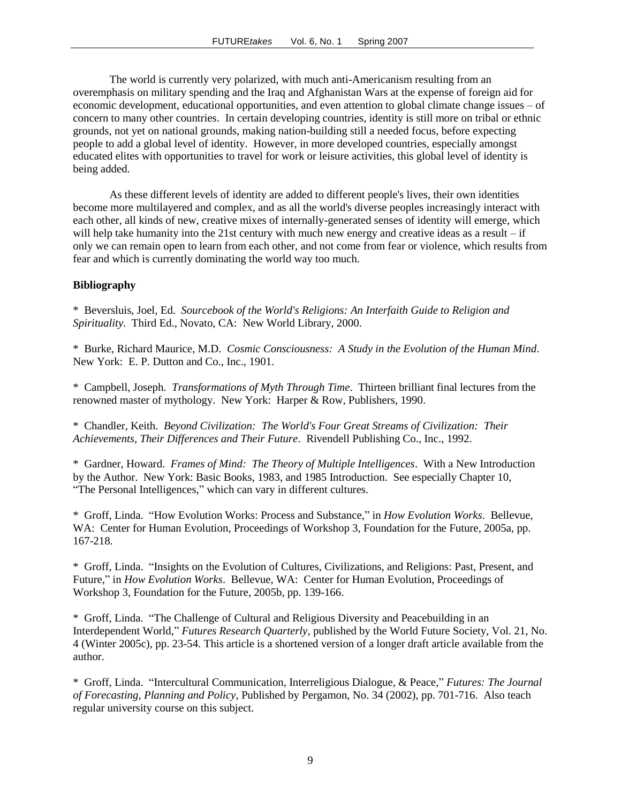The world is currently very polarized, with much anti-Americanism resulting from an overemphasis on military spending and the Iraq and Afghanistan Wars at the expense of foreign aid for economic development, educational opportunities, and even attention to global climate change issues – of concern to many other countries. In certain developing countries, identity is still more on tribal or ethnic grounds, not yet on national grounds, making nation-building still a needed focus, before expecting people to add a global level of identity. However, in more developed countries, especially amongst educated elites with opportunities to travel for work or leisure activities, this global level of identity is being added.

As these different levels of identity are added to different people's lives, their own identities become more multilayered and complex, and as all the world's diverse peoples increasingly interact with each other, all kinds of new, creative mixes of internally-generated senses of identity will emerge, which will help take humanity into the 21st century with much new energy and creative ideas as a result – if only we can remain open to learn from each other, and not come from fear or violence, which results from fear and which is currently dominating the world way too much.

# **Bibliography**

\* Beversluis, Joel, Ed. *Sourcebook of the World's Religions: An Interfaith Guide to Religion and Spirituality*. Third Ed., Novato, CA: New World Library, 2000.

\* Burke, Richard Maurice, M.D. *Cosmic Consciousness: A Study in the Evolution of the Human Mind*. New York: E. P. Dutton and Co., Inc., 1901.

\* Campbell, Joseph. *Transformations of Myth Through Time*. Thirteen brilliant final lectures from the renowned master of mythology. New York: Harper & Row, Publishers, 1990.

\* Chandler, Keith. *Beyond Civilization: The World's Four Great Streams of Civilization: Their Achievements, Their Differences and Their Future*. Rivendell Publishing Co., Inc., 1992.

\* Gardner, Howard. *Frames of Mind: The Theory of Multiple Intelligences*. With a New Introduction by the Author. New York: Basic Books, 1983, and 1985 Introduction. See especially Chapter 10, "The Personal Intelligences," which can vary in different cultures.

\* Groff, Linda. "How Evolution Works: Process and Substance," in *How Evolution Works*. Bellevue, WA: Center for Human Evolution, Proceedings of Workshop 3, Foundation for the Future, 2005a, pp. 167-218.

\* Groff, Linda. "Insights on the Evolution of Cultures, Civilizations, and Religions: Past, Present, and Future," in *How Evolution Works*. Bellevue, WA: Center for Human Evolution, Proceedings of Workshop 3, Foundation for the Future, 2005b, pp. 139-166.

\* Groff, Linda. "The Challenge of Cultural and Religious Diversity and Peacebuilding in an Interdependent World," *Futures Research Quarterly*, published by the World Future Society, Vol. 21, No. 4 (Winter 2005c), pp. 23-54. This article is a shortened version of a longer draft article available from the author.

\* Groff, Linda. "Intercultural Communication, Interreligious Dialogue, & Peace," *Futures: The Journal of Forecasting, Planning and Policy*, Published by Pergamon, No. 34 (2002), pp. 701-716. Also teach regular university course on this subject.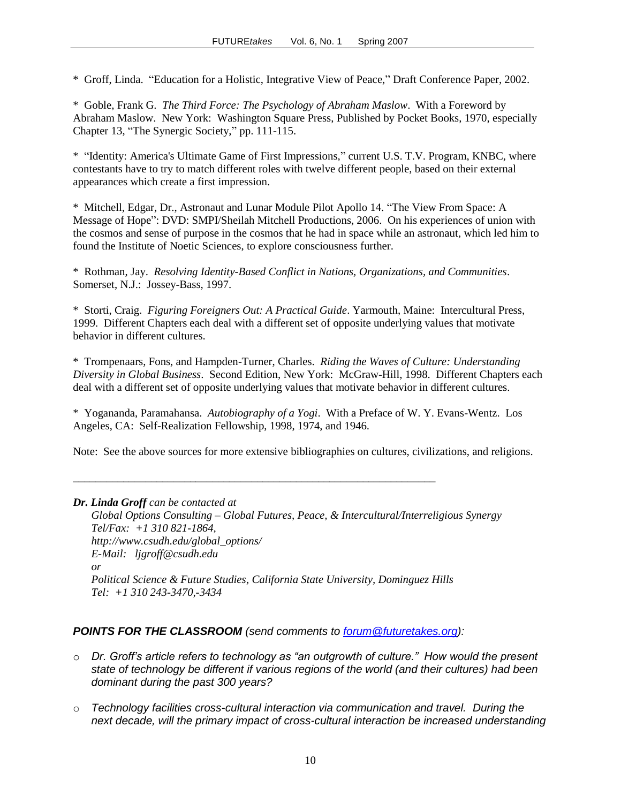\* Groff, Linda. "Education for a Holistic, Integrative View of Peace," Draft Conference Paper, 2002.

\* Goble, Frank G. *The Third Force: The Psychology of Abraham Maslow*. With a Foreword by Abraham Maslow. New York: Washington Square Press, Published by Pocket Books, 1970, especially Chapter 13, "The Synergic Society," pp. 111-115.

\* "Identity: America's Ultimate Game of First Impressions," current U.S. T.V. Program, KNBC, where contestants have to try to match different roles with twelve different people, based on their external appearances which create a first impression.

\* Mitchell, Edgar, Dr., Astronaut and Lunar Module Pilot Apollo 14. "The View From Space: A Message of Hope": DVD: SMPI/Sheilah Mitchell Productions, 2006. On his experiences of union with the cosmos and sense of purpose in the cosmos that he had in space while an astronaut, which led him to found the Institute of Noetic Sciences, to explore consciousness further.

\* Rothman, Jay. *Resolving Identity-Based Conflict in Nations, Organizations, and Communities*. Somerset, N.J.: Jossey-Bass, 1997.

\* Storti, Craig. *Figuring Foreigners Out: A Practical Guide*. Yarmouth, Maine: Intercultural Press, 1999. Different Chapters each deal with a different set of opposite underlying values that motivate behavior in different cultures.

\* Trompenaars, Fons, and Hampden-Turner, Charles. *Riding the Waves of Culture: Understanding Diversity in Global Business*. Second Edition, New York: McGraw-Hill, 1998. Different Chapters each deal with a different set of opposite underlying values that motivate behavior in different cultures.

\* Yogananda, Paramahansa. *Autobiography of a Yogi*. With a Preface of W. Y. Evans-Wentz. Los Angeles, CA: Self-Realization Fellowship, 1998, 1974, and 1946.

Note: See the above sources for more extensive bibliographies on cultures, civilizations, and religions.

| Dr. Linda Groff can be contacted at                                                       |
|-------------------------------------------------------------------------------------------|
| Global Options Consulting – Global Futures, Peace, & Intercultural/Interreligious Synergy |
| Tel/Fax: $+1$ 310 821-1864,                                                               |
| http://www.csudh.edu/global_options/                                                      |
| $E$ -Mail: ligroff@csudh.edu                                                              |
| or                                                                                        |
| Political Science & Future Studies, California State University, Dominguez Hills          |
| Tel: $+1310243-3470,-3434$                                                                |

\_\_\_\_\_\_\_\_\_\_\_\_\_\_\_\_\_\_\_\_\_\_\_\_\_\_\_\_\_\_\_\_\_\_\_\_\_\_\_\_\_\_\_\_\_\_\_\_\_\_\_\_\_\_\_\_\_\_\_\_\_\_\_\_\_

# *POINTS FOR THE CLASSROOM (send comments to [forum@futuretakes.org\)](mailto:forum@futuretakes.org):*

- o *Dr. Groff's article refers to technology as "an outgrowth of culture." How would the present state of technology be different if various regions of the world (and their cultures) had been dominant during the past 300 years?*
- o *Technology facilities cross-cultural interaction via communication and travel. During the next decade, will the primary impact of cross-cultural interaction be increased understanding*